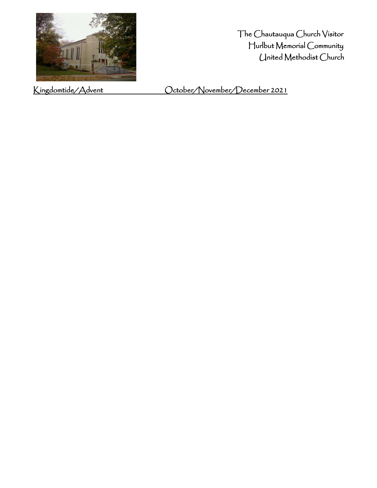

The Chautauqua Church Visitor Hurlbut Memorial Community United Methodist Church

Kingdomtide/Advent October/November/December 2021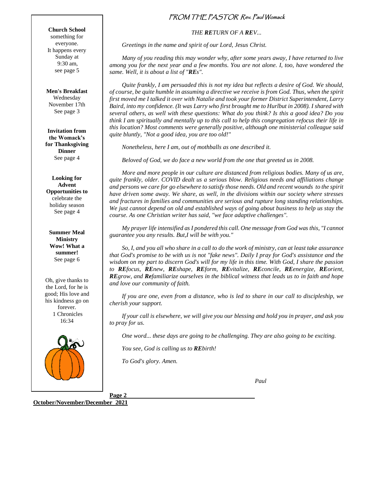## FROM THE PASTOR Rev. Paul Womack

## *THE RETURN OF A REV...*

*Greetings in the name and spirit of our Lord, Jesus Christ.*

*Many of you reading this may wonder why, after some years away, I have returned to live among you for the next year and a few months. You are not alone. I, too, have wondered the same. Well, it is about a list of "REs".*

*Quite frankly, I am persuaded this is not my idea but reflects a desire of God. We should, of course, be quite humble in assuming a directive we receive is from God. Thus, when the spirit first moved me I talked it over with Natalie and took your former District Superintendent, Larry Baird, into my confidence. (It was Larry who first brought me to Hurlbut in 2008). I shared with several others, as well with these questions: What do you think? Is this a good idea? Do you think I am spiritually and mentally up to this call to help this congregation refocus their life in this location? Most comments were generally positive, although one ministerial colleague said quite bluntly, "Not a good idea, you are too old!"*

*Nonetheless, here I am, out of mothballs as one described it.*

Beloved of God, we do face a new world from the one that greeted us in 2008.

*More and more people in our culture are distanced from religious bodies. Many of us are, quite frankly, older. COVID dealt us a serious blow. Religious needs and affiliations change and persons we care for go elsewhere to satisfy those needs. Old and recent wounds to the spirit have driven some away. We share, as well, in the divisions within our society where stresses and fractures in families and communities are serious and rupture long standing relationships. We just cannot depend on old and established ways of going about business to help us stay the course. As one Christian writer has said, "we face adaptive challenges".*

*My prayer life intensified as I pondered this call. One message from God was this, "I cannot guarantee you any results. But,I will be with you."*

*So, I, and you all who share in a call to do the work of ministry, can at least take assurance that God's promise to be with us is not "fake news". Daily I pray for God's assistance and the wisdom on my part to discern God's will for my life in this time. With God, I share the passion to REfocus, REnew, REshape, REform, REvitalize, REconcile, REenergize, REorient, REgrow, and Refamiliarize ourselves in the biblical witness that leads us to in faith and hope and love our community of faith.*

*If you are one, even from a distance, who is led to share in our call to discipleship, we cherish your support.*

*If your call is elsewhere, we will give you our blessing and hold you in prayer, and ask you to pray for us.*

*One word... these days are going to be challenging. They are also going to be exciting.*

*You see, God is calling us to REbirth!*

*To God's glory. Amen.*

*Paul*

**Church School**  something for everyone. It happens every Sunday at 9:30 am, see page 5

**Men's Breakfast** Wednesday November 17th See page 3

**Invitation from the Womack's for Thanksgiving Dinner** See page 4

**Looking for Advent Opportunities to**  celebrate the holiday season See page 4

**Summer Meal Ministry Wow! What a summer!** See page 6

Oh, give thanks to the Lord, for he is good; His love and his kindness go on forever. 1 Chronicles 16:34



**Page 2 Page 2** *Page 2 Page 2* **<b>***Page 2 Page 2 Page 2* **<b>***Page 2 Page 2 Page 2 Page 2 Page 2 Page 22* **<b>***Page 22 Page 22 Page 22* **<b>***Page 22 Page 22 Page 22 Page 22* **<b>***P* **October/November/December 2021**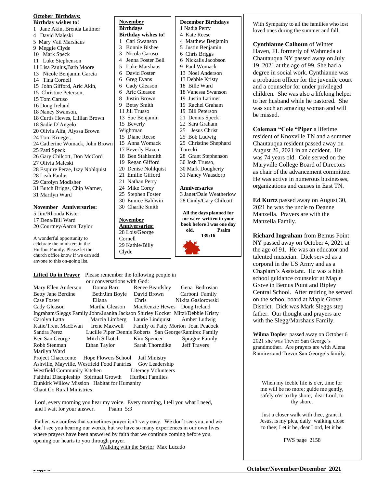## **October Birthdays:**

- **Birthday wishes to!**  1 Jane Akin, Brenda Latimer
- 4 David Maleski
- 5 Mary Vail Marshaus
- 9 Meggie Clyde
- 10 Mark Speck
- 11 Luke Stephenson
- 11 Lisa Paulus,Barb Moore
- 13 Nicole Benjamin Garcia
- 14 Tina Cornell
- 15 John Gifford, Aric Akin,
- 15 Christine Peterson,
- 15 Tom Caruso
- 16 Doug Ireland
- 18 Nancy Swanson,
- 18 Curtis Hewes, Lillian Brown
- 18 Sadie D'Angelo
- 20 Olivia Alfa, Alyssa Brown
- 24 Tom Krueger,
- 24 Catherine Womack, John Brown
- 25 Patti Speck
- 26 Gary Chilcott, Don McCord
- 27 Olivia Maleski
- 28 Esquire Perze, Izzy Nohlquist
- 28 Leah Paulus
- 
- 29 Carolyn Modisher
- 31 Butch Briggs, Chip Warner,
- 31 Marilyn Ward

## **November Anniversaries:**

 5 Jim/Rhonda Kister 20 Courtney/Aaron Taylor 17 Dena/Bill Ward

 A wonderful opportunity to celebrate the ministers in the church office know if we can add anyone to this on-going list. Hurlbut Family. Please let the

## **Lifted Up in Prayer** Please remember the following people in

3 Bonnie Bisbee 3 Nicola Caruso 4 Jenna Foster Bell 5 Luke Marshaus 6 David Foster 6 Greg Evans 6 Cady Gleason 6 Aric Gleason 8 Justin Brown 9 Betsy Smith 11 Jill Trusso 13 Sue Benjamin 15 Beverly Wightman 15 Diane Reese 15 Anna Womack 17 Beverly Hazen 18 Ben Stahlsmith 19 Regan Gifford 20 Denise Nohlquist 21 Emilie Gifford 21 Nathan Perry 24 Mike Corey 25 Stephen Foster 30 Eunice Baldwin 30 Charlie Smith **November** 

**November Birthdays**

**Birthday wishes to!**  1 Carl Swanson

## **Anniversaries:** 28 Lois/George

Cornell 29 Kathie/Billy Clyde

Cady Gleason Carolyn Latta Katie/Trent MacEwan<br>Sandra Perez Ken San George Mitch Silkotch Kim Spencer Sprague Family Marilyn Ward Project Chacocente Hope Flowers School Jail Ministry Ashvine, Mayvine, Westfield Food Fantries Coov Leadership<br>Westfield Community Kitchen Literacy Volunteers Faithful Discipleship Spiritual Growth Hurlbut Families Chaut Co Rural Ministries our conversations with God: Mary Ellen Anderson Donna Barr Renee Beardsley Gena Bedrosian Betty Jane Berdine Beth/Jim Boyle David Brown Carboni Family Case Foster Eliana Chris Nikita Gasiorowski Martha Gleason MacKenzie Hewes Doug Ireland Ingraham/Sleggs Family John/Juanita Jackson Shirley Kocker Mitzi/Debbie Kristy Marcia Limberg Laurie Lindquist Irene Maxwell Family of Patty Morton Joan Peacock Lucille Piper Dennis Roberts San George/Ramirez Family Robb Stenman Ethan Taylor Sarah Thorndike Jeff Travers Ashville, Mayville, Westfield Food Pantries Gov Leadership Dunkirk Willow Mission Habitat for Humanity

Lord, every morning you hear my voice. Every morning, I tell you what I need, and I wait for your answer. Psalm 5:3

 Father, we confess that sometimes prayer isn't very easy. We don't see you, and we where prayers have been answered by faith that we continue coming before you, opening our hearts to you through prayer. don't see you hearing our words, but we have so many experiences in our own lives

Walking with the Savior Max Lucado

## **December Birthdays** 1 Nadia Perry 4 Kate Reese 4 Matthew Benjamin 5 Justin Benjamin 6 Chris Briggs 6 Nickalis Jacobson 9 Paul Womack 13 Noel Anderson 13 Debbie Kristy 18 Bille Ward 18 Vanessa Swanson 19 Justin Latimer 19 Rachel Graham 19 Bill Peterson 21 Dennis Speck 22 Sara Graham 25 Jesus Christ 25 Bob Ludwig 25 Christine Shephard Turecki 28 Grant Stephenson 30 Josh Trusso, 30 Mark Dougherty 31 Nancy Waasdorp

## **Anniversaries**

3 Janet/Dale Weatherlow 28 Cindy/Gary Chilcott

**All the days planned for me were written in your book before I was one day old. Psalm 139:16**

> $\overline{a}$  $\overline{\phantom{0}}$

With Sympathy to all the families who lost loved ones during the summer and fall.

**Cynthianne Calhoun** of Winter Haven, FL formerly of Wahmeda at Chautauqua NY passed away on July 19, 2021 at the age of 99. She had a degree in social work. Cynthianne was a probation officer for the juvenile court and a counselor for under privileged children. She was also a lifelong helper to her husband while he pastored. She was such an amazing woman and will be missed.

**Coleman "Cole "Piper** a lifetime resident of Knoxville TN and a summer Chautauqua resident passed away on August 26, 2021 in an accident. He was 74 years old. Cole served on the Maryville College Board of Directors as chair of the advancement committee. He was active in numerous businesses, organizations and causes in East TN.

**Ed Kurtz** passed away on August 30, 2021 he was the uncle to Deanne Manzella. Prayers are with the Manzella Family.

**Richard Ingraham** from Bemus Point NY passed away on October 4, 2021 at the age of 91. He was an educator and talented musician. Dick served as a corporal in the US Army and as a Chaplain's Assistant. He was a high school guidance counselor at Maple Grove in Bemus Point and Ripley Central School. After retiring he served on the school board at Maple Grove District. Dick was Mark Sleggs step father. Our thought and prayers are with the Slegg/Marshaus Family.

**Wilma Dopler** passed away on October 6 2021 she was Trevor San George's grandmother. Are prayers are with Alena Ramirez and Trevor San George's family.

When my feeble life is o'er, time for me will be no more; guide me gently, safely o'er to thy shore, dear Lord, to thy shore.

Just a closer walk with thee, grant it, Jesus, is my plea, daily walking close to thee; Let it be, dear Lord, let it be.

FWS page 2158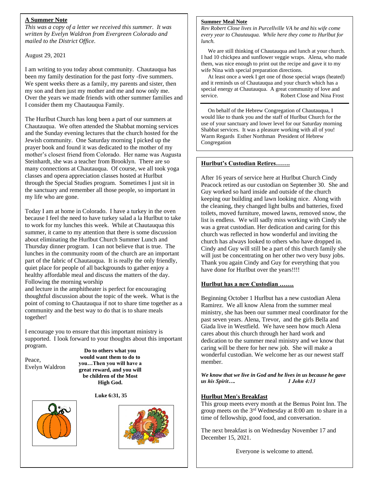## **A Summer Note**

*This was a copy of a letter we received this summer. It was written by Evelyn Waldron from Evergreen Colorado and mailed to the District Office.*

August 29, 2021

I am writing to you today about community. Chautauqua has been my family destination for the past forty -five summers. We spent weeks there as a family, my parents and sister, then my son and then just my mother and me and now only me. Over the years we made friends with other summer families and I consider them my Chautauqua Family.

The Hurlbut Church has long been a part of our summers at Chautauqua. We often attended the Shabbat morning services and the Sunday evening lectures that the church hosted for the Jewish community. One Saturday morning I picked up the prayer book and found it was dedicated to the mother of my mother's closest friend from Colorado. Her name was Augusta Steinhardt, she was a teacher from Brooklyn. There are so many connections at Chautauqua. Of course, we all took yoga classes and opera appreciation classes hosted at Hurlbut through the Special Studies program. Sometimes I just sit in the sanctuary and remember all those people, so important in my life who are gone.

Today I am at home in Colorado. I have a turkey in the oven because I feel the need to have turkey salad a la Hurlbut to take to work for my lunches this week. While at Chautauqua this summer, it came to my attention that there is some discussion about eliminating the Hurlbut Church Summer Lunch and Thursday dinner program. I can not believe that is true. The lunches in the community room of the church are an important part of the fabric of Chautauqua. It is really the only friendly, quiet place for people of all backgrounds to gather enjoy a healthy affordable meal and discuss the matters of the day. Following the morning worship

and lecture in the amphitheater is perfect for encouraging thoughtful discussion about the topic of the week. What is the point of coming to Chautauqua if not to share time together as a community and the best way to do that is to share meals together!

I encourage you to ensure that this important ministry is supported. I look forward to your thoughts about this important program.

Peace, Evelyn Waldron

**Do to others what you would want them to do to you…Then you will have a great reward, and you will be children of the Most High God.** 

**Luke 6:31, 35**





## **Summer Meal Note**

*Rev Robert Close lives in Purcellville VA he and his wife come every year to Chautauqua. While here they come to Hurlbut for lunch.*

 We are still thinking of Chautauqua and lunch at your church. I had 10 chickpea and sunflower veggie wraps. Alena, who made them, was nice enough to print out the recipe and gave it to my wife Nina with special preparation directions.

 At least once a week I get one of those special wraps (heated) and it reminds us of Chautauqua and your church which has a special energy at Chautauqua. A great community of love and service. Robert Close and Nina Frost

 On behalf of the Hebrew Congregation of Chautauqua, I would like to thank you and the staff of Hurlbut Church for the use of your sanctuary and lower level for our Saturday morning Shabbat services. It was a pleasure working with all of you! Warm Regards Esther Northman President of Hebrew Congregation

## **Hurlbut's Custodian Retires…….**

After 16 years of service here at Hurlbut Church Cindy Peacock retired as our custodian on September 30. She and Guy worked so hard inside and outside of the church keeping our building and lawn looking nice. Along with the cleaning, they changed light bulbs and batteries, fixed toilets, moved furniture, mowed lawns, removed snow, the list is endless. We will sadly miss working with Cindy she was a great custodian. Her dedication and caring for this church was reflected in how wonderful and inviting the church has always looked to others who have dropped in. Cindy and Guy will still be a part of this church family she will just be concentrating on her other two very busy jobs. Thank you again Cindy and Guy for everything that you have done for Hurlbut over the years!!!!

## **Hurlbut has a new Custodian …….**

Beginning October 1 Hurlbut has a new custodian Alena Ramirez. We all know Alena from the summer meal ministry, she has been our summer meal coordinator for the past seven years. Alena, Trevor, and the girls Bella and Giada live in Westfield. We have seen how much Alena cares about this church through her hard work and dedication to the summer meal ministry and we know that caring will be there for her new job. She will make a wonderful custodian. We welcome her as our newest staff member.

*We know that we live in God and he lives in us because he gave us his Spirit…. 1 John 4:13*

## **Hurlbut Men's Breakfast**

This group meets every month at the Bemus Point Inn. The group meets on the 3rd Wednesday at 8:00 am to share in a time of fellowship, good food, and conversation.

The next breakfast is on Wednesday November 17 and December 15, 2021.

Everyone is welcome to attend.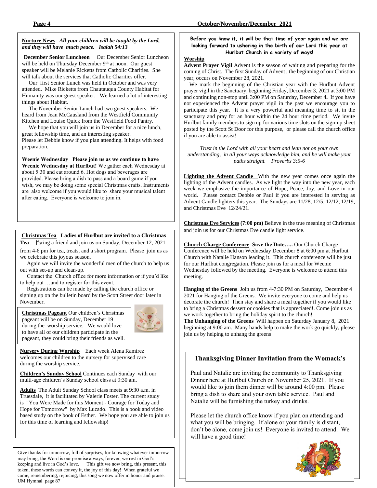## **Nurture News** *All your children will be taught by the Lord, and they will have much peace. Isaiah 54:13*

**December Senior Luncheon** Our December Senior Luncheon will be held on Thursday December 9<sup>th</sup> at noon. Our guest speaker will be Melanie Ricketts from Catholic Charities. She will talk about the services that Catholic Charities offer.

 Our first Senior Lunch was held in October and was very attended. Mike Ricketts from Chautauqua County Habitat for Humanity was our guest speaker. We learned a lot of interesting things about Habitat.

 The November Senior Lunch had two guest speakers. We heard from Jean McCausland from the Westfield Community Kitchen and Louise Quick from the Westfield Food Pantry.

 We hope that you will join us in December for a nice lunch, great fellowship time, and an interesting speaker. Please let Debbie know if you plan attending. It helps with food preparation.

**Weenie Wednesday Please join us as we continue to have Weenie Wednesday at Hurlbut!** We gather each Wednesday at about 5:30 and eat around 6. Hot dogs and beverages are

provided. Please bring a dish to pass and a board game if you wish, we may be doing some special Christmas crafts. Instruments are also welcome if you would like to share your musical talent after eating. Everyone is welcome to join in.

## **Christmas Tea Ladies of Hurlbut are invited to a Christmas**

**Tea** . Bring a friend and join us on Sunday, December 12, 2021

 from 4-6 pm for tea, treats, and a short program. Please join us as we celebrate this joyous season.

 Again we will invite the wonderful men of the church to help us out with set-up and clean-up.

 to help out …and to register for this event. Contact the Church office for more information or if you'd like

 Registrations can be made by calling the church office or signing up on the bulletin board by the Scott Street door later in November.

 **Christmas Pageant** Our children's Christmas pageant will be on Sunday, December 19 during the worship service. We would love to have all of our children participate in the pageant, they could bring their friends as well.



 **Nursery During Worship** Each week Alena Ramirez welcomes our children to the nursery for supervised care during the worship service.

 **Children's Sunday School** Continues each Sunday with our multi-age children's Sunday school class at 9:30 am.

 **Adults** The Adult Sunday School class meets at 9:30 a.m. in **the story of the story, the story of the and a** story and *the current* study Truesdale, it is facilitated by Valerie Foster. The current study **Christ needs the church, to live and**  is "You Were Made for this Moment - Courage for Today and Hope for Tomorrow" by Max Lucado. This is a book and video for this time of learning and fellowship! based study on the book of Esther. We hope you are able to join us

Give thanks for tomorrow, full of surprises, for knowing whatever tomorrow keeping and live in God's love. This gift we now bring, this present, this token, these words can convey it, the joy of this day! When grateful we may bring, the Word is our promise always, forever, we rest in God's come, remembering, rejoicing, this song we now offer in honor and praise. UM Hymnal page 87

**Before you know it, it will be that time of year again and we are looking forward to ushering in the birth of our Lord this year at Hurlbut Church in a variety of ways!**

## **Worship**

֦

**Advent Prayer Vigil** Advent is the season of waiting and preparing for the coming of Christ. The first Sunday of Advent , the beginning of our Christian year, occurs on November 28, 2021.

 We mark the beginning of the Christian year with the Hurlbut Advent prayer vigil in the Sanctuary, beginning Friday, December 3, 2021 at 3:00 PM and continuing non-stop until 3:00 PM on Saturday, December 4**.** If you have not experienced the Advent prayer vigil in the past we encourage you to participate this year. It is a very powerful and meaning time to sit in the sanctuary and pray for an hour within the 24 hour time period.We invite Hurlbut family members to sign up for various time slots on the sign-up sheet posted by the Scott St Door for this purpose, or please call the church office if you are able to assist!

*Trust in the Lord with all your heart and lean not on your own understanding, in all your ways acknowledge him, and he will make your paths straight. Proverbs 3:5-6*

**Lighting the Advent Candle** With the new year comes once again the lighting of the Advent candles. As we light the way into the new year, each week we emphasize the importance of Hope, Peace, Joy, and Love in our world. Please contact Debbie or Paul if you are interested in serving as Advent Candle lighters this year. The Sundays are 11/28, 12/5, 12/12, 12/19, and Christmas Eve 12/24/21.

**Christmas Eve Services (7:00 pm)** Believe in the true meaning of Christmas and join us for our Christmas Eve candle light service.

**Church Charge Conference Save the Date…..** Our Church Charge Conference will be held on Wednesday December 8 at 6:00 pm at Hurlbut Church with Natalie Hanson leading it. This church conference will be just for our Hurlbut congregation. Please join us for a meal for Weenie Wednesday followed by the meeting. Everyone is welcome to attend this meeting.

**Hanging of the Greens** Join us from 4-7:30 PM on Saturday, December 4 2021 for Hanging of the Greens. We invite everyone to come and help us decorate the church! Then stay and share a meal together if you would like to bring a Christmas dessert or cookies that is appreciated!. Come join us as we work together to bring the holiday spirit to the church!

**The Unhanging of the Greens** Will happen on Saturday January 8, 2021 beginning at 9:00 am. Many hands help to make the work go quickly, please join us by helping to unhang the greens

## **Thanksgiving Dinner Invitation from the Womack's**

Paul and Natalie are inviting the community to Thanksgiving Dinner here at Hurlbut Church on November 25, 2021. If you would like to join them dinner will be around 4:00 pm. Please bring a dish to share and your own table service. Paul and Natalie will be furnishing the turkey and drinks.

Please let the church office know if you plan on attending and what you will be bringing. If alone or your family is distant, don't be alone, come join us! Everyone is invited to attend. We will have a good time!

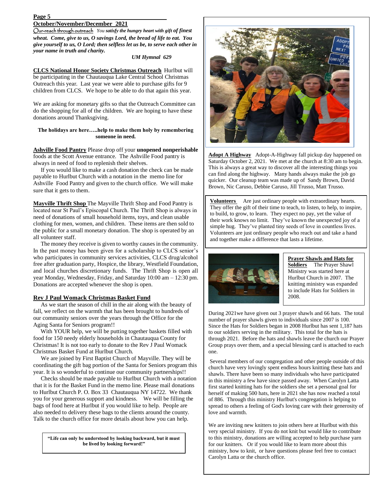## **October/November/December 2021**

Our-reach through outreach *You satisfy the hungry heart with gift of finest wheat. Come, give to us, O savings Lord, the bread of life to eat. You give yourself to us, O Lord; then selfless let us be, to serve each other in your name in truth and charity.* 

 *UM Hymnal 629*

**CLCS National Honor Society Christmas Outreach** Hurlbut will be participating in the Chautauqua Lake Central School Christmas Outreach this year. Last year we were able to purchase gifts for 9 children from CLCS. We hope to be able to do that again this year.

We are asking for monetary gifts so that the Outreach Committee can do the shopping for all of the children. We are hoping to have these donations around Thanksgiving.

## **The holidays are here…..help to make them holy by remembering someone in need.**

**Ashville Food Pantry** Please drop off your **unopened nonperishable** foods at the Scott Avenue entrance. The Ashville Food pantry is always in need of food to replenish their shelves.

 If you would like to make a cash donation the check can be made payable to Hurlbut Church with a notation in the memo line for Ashville Food Pantry and given to the church office. We will make sure that it gets to them.

**Mayville Thrift Shop** The Mayville Thrift Shop and Food Pantry is located near St Paul's Episcopal Church. The Thrift Shop is always in need of donations of small household items, toys, and clean usable clothing for men, women, and children. These items are then sold to the public for a small monetary donation. The shop is operated by an all volunteer staff.

 The money they receive is given to worthy causes in the community. In the past money has been given for a scholarship to CLCS senior's who participates in community services activities, CLCS drug/alcohol free after graduation party, Hospice, the library, Westfield Foundation, and local churches discretionary funds. The Thrift Shop is open all year Monday, Wednesday, Friday, and Saturday 10:00 am – 12:30 pm. Donations are accepted whenever the shop is open.

## **Rev J Paul Womack Christmas Basket Fund**

 As we start the season of chill in the air along with the beauty of fall, we reflect on the warmth that has been brought to hundreds of our community seniors over the years through the Office for the Aging Santa for Seniors program!!

 With YOUR help, we will be putting together baskets filled with food for 150 needy elderly households in Chautauqua County for Christmas! It is not too early to donate to the Rev J Paul Womack Christmas Basket Fund at Hurlbut Church.

 We are joined by First Baptist Church of Mayville. They will be coordinating the gift bag portion of the Santa for Seniors program this year. It is so wonderful to continue our community partnerships!!

 Checks should be made payable to Hurlbut Church with a notation that it is for the Basket Fund in the memo line. Please mail donations to Hurlbut Church P. O. Box 33 Chautauqua NY 14722. We thank you for your generous support and kindness. We will be filling the bags of food here at Hurlbut if you would like to help. People are also needed to delivery these bags to the clients around the county. Talk to the church office for more details about how you can help.

**"Life can only be understood by looking backward, but it must be lived by looking forward!"**



**Adopt A Highway** Adopt-A-Highway fall pickup day happened on Saturday October 2, 2021. We met at the church at 8:30 am to begin. This is always a great way to discover all the interesting things you can find along the highway. Many hands always make the job go quicker. Our cleanup team was made up of Sandy Brown, David Brown, Nic Caruso, Debbie Caruso, Jill Trusso, Matt Trusso.

**Volunteers** Are just ordinary people with extraordinary hearts. They offer the gift of their time to teach, to listen, to help, to inspire, to build, to grow, to learn. They expect no pay, yet the value of their work knows no limit. They've known the unexpected joy of a simple hug. They've planted tiny seeds of love in countless lives. Volunteers are just ordinary people who reach out and take a hand and together make a difference that lasts a lifetime.



**Prayer Shawls and Hats for Soldiers** The Prayer Shawl Ministry was started here at Hurlbut Church in 2007. The knitting ministry was expanded to include Hats for Soldiers in 2008.

During 2021we have given out 3 prayer shawls and 66 hats. The total number of prayer shawls given to individuals since 2007 is 100. Since the Hats for Soldiers began in 2008 Hurlbut has sent 1,187 hats to our soldiers serving in the military. This total for the hats is through 2021. Before the hats and shawls leave the church our Prayer Group prays over them, and a special blessing card is attached to each one.

Several members of our congregation and other people outside of this church have very lovingly spent endless hours knitting these hats and shawls. There have been so many individuals who have participated in this ministry a few have since passed away. When Carolyn Latta first started knitting hats for the soldiers she set a personal goal for herself of making 500 hats, here in 2021 she has now reached a total of 886. Through this ministry Hurlbut's congregation is helping to spread to others a feeling of God's loving care with their generosity of love and warmth.

We are inviting new knitters to join others here at Hurlbut with this very special ministry. If you do not knit but would like to contribute to this ministry, donations are willing accepted to help purchase yarn for our knitters. Or if you would like to learn more about this ministry, how to knit, or have questions please feel free to contact Carolyn Latta or the church office.

**Page 5**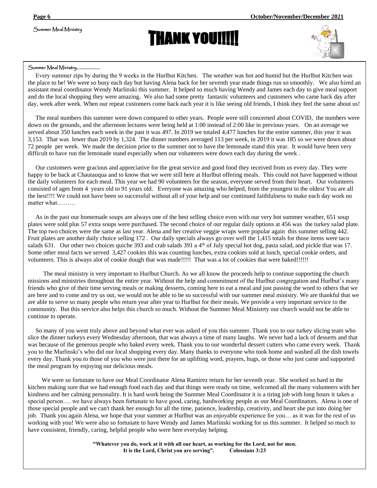## Summer Meal Ministry

# **THANK YOU!!!!!**





## Summer Meal Ministry...

 Every summer zips by during the 9 weeks in the Hurlbut Kitchen. The weather was hot and humid but the Hurlbut Kitchen was the place to be! We were so busy each day but having Alena back for her seventh year made things run so smoothly. We also hired an assistant meal coordinator Wendy Marlinski this summer. It helped so much having Wendy and James each day to give meal support and do the local shopping they were amazing. We also had some pretty fantastic volunteers and customers who came back day after day, week after week. When our repeat customers come back each year it is like seeing old friends, I think they feel the same about us!

 The meal numbers this summer were down compared to other years. People were still concerned about COVID, the numbers were down on the grounds, and the afternoon lectures were being held at 1:00 instead of 2:00 like in previous years. On an average we served about 350 lunches each week in the past it was 497. In 2019 we totaled 4,477 lunches for the entire summer, this year it was 3,153. That was lower than 2019 by 1,324. The dinner numbers averaged 113 per week, in 2019 it was 185 so we were down about 72 people per week. We made the decision prior to the summer not to have the lemonade stand this year. It would have been very difficult to have run the lemonade stand especially when our volunteers were down each day during the week .

 Our customers were gracious and appreciative for the great service and good food they received from us every day. They were happy to be back at Chautauqua and to know that we were still here at Hurlbut offering meals. This could not have happened without the daily volunteers for each meal. This year we had 90 volunteers for the season, everyone served from their heart. Our volunteers consisted of ages from 4 years old to 91 years old. Everyone was amazing who helped, from the youngest to the oldest You are all the best!!!! We could not have been so successful without all of your help and our continued faithfulness to make each day work no matter what………

 As in the past our homemade soups are always one of the best selling choice even with our very hot summer weather, 651 soup plates were sold plus 57 extra soups were purchased. The second choice of our regular daily options at 456 was the turkey salad plate. The top two choices were the same as last year. Alena and her creative veggie wraps were popular again this summer selling 442. Fruit plates are another daily choice selling 172 . Our daily specials always go over well the 1,415 totals for those items were taco salads 631. Our other two choices quiche 393 and crab salads  $391$  a  $4<sup>th</sup>$  of July special hot dog, pasta salad, and pickle that was 17. Some other meal facts we served 3,427 cookies this was counting lunches, extra cookies sold at lunch, special cookie orders, and volunteers. This is always alot of cookie dough that was made!!!!! That was a lot of cookies that were baked!!!!!!

 continue to operate. The meal ministry is very important to Hurlbut Church. As we all know the proceeds help to continue supporting the church missions and ministries throughout the entire year. Without the help and commitment of the Hurlbut congregation and Hurlbut's many friends who give of their time serving meals or making desserts, coming here to eat a meal and just passing the word to others that we are here and to come and try us out, we would not be able to be so successful with our summer meal ministry. We are thankful that we are able to serve so many people who return year after year to Hurlbut for their meals. We provide a very important service to the community. But this service also helps this church so much. Without the Summer Meal Ministrty our church would not be able to

 So many of you went truly above and beyond what ever was asked of you this summer. Thank you to our turkey slicing team who slice the dinner turkeys every Wednesday afternoon, that was always a time of many laughs. We never had a lack of desserts and that was because of the generous people who baked every week. Thank you to our wonderful dessert cutters who came every week. Thank you to the Marlinski's who did our local shopping every day. Many thanks to everyone who took home and washed all the dish towels every day. Thank you to those of you who were just there for an uplifting word, prayers, hugs, or those who just came and supported the meal program by enjoying our delicious meals.

 We were so fortunate to have our Meal Coordinator Alena Ramirez return for her seventh year. She worked so hard in the kitchen making sure that we had enough food each day and that things were ready on time, welcomed all the many volunteers with her kindness and her calming personality. It is hard work being the Summer Meal Coordinator it is a tiring job with long hours it takes a special person.... we have always been fortunate to have good, caring, hardworking people as our Meal Coordinators. Alena is one of those special people and we can't thank her enough for all the time, patience, leadership, creativity, and heart she put into doing her job. Thank you again Alena, we hope that your summer at Hurlbut was an enjoyable experience for you… as it was for the rest of us working with you! We were also so fortunate to have Wendy and James Marlinski working for us this summer. It helped so much to have consistent, friendly, caring, helpful people who were here everyday helping.

> **"Whatever you do, work at it with all our heart, as working for the Lord, not for men. It is the Lord, Christ you are serving". Colossians 3:23**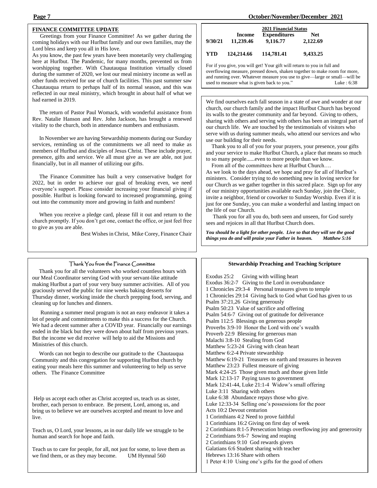## **FINANCE COMMITTEE UPDATE**

! coming holidays with our Hurlbut family and our own families, may the Greetings from your Finance Committee! As we gather during the Lord bless and keep you all in His love.

As you know, the past few years have been monetarily very challenging here at Hurlbut. The Pandemic, for many months, prevented us from worshipping together. With Chautauqua Institution virtually closed during the summer of 2020, we lost our meal ministry income as well as other funds received for use of church facilities. This past summer saw Chautauqua return to perhaps half of its normal season, and this was reflected in our meal ministry, which brought in about half of what we had earned in 2019.

 The return of Pastor Paul Womack, with wonderful assistance from Rev. Natalie Hanson and Rev. John Jackson, has brought a renewed vitality to the church, both in attendance numbers and enthusiasm.

 In November we are having Stewardship moments during our Sunday services, reminding us of the commitments we all need to make as members of Hurlbut and disciples of Jesus Christ. These include prayer, presence, gifts and service. We all must give as we are able, not just financially, but in all manner of utilizing our gifts.

 The Finance Committee has built a very conservative budget for 2022, but in order to achieve our goal of breaking even, we need everyone's support. Please consider increasing your financial giving if possible. Hurlbut is looking forward to increased programming, going out into the community more and growing in faith and numbers!

 When you receive a pledge card, please fill it out and return to the church promptly. If you don't get one, contact the office, or just feel free to give as you are able.

Best Wishes in Christ, Mike Corey, Finance Chair

## Thank You from the Finance Committee

 Thank you for all the volunteers who worked countless hours with our Meal Coordinator serving God with your servant-like attitude making Hurlbut a part of your very busy summer activities. All of you graciously served the public for nine weeks baking desserts for Thursday dinner, working inside the church prepping food, serving, and cleaning up for lunches and dinners.

 Running a summer meal program is not an easy endeavor it takes a lot of people and commitments to make this a success for the Church. We had a decent summer after a COVID year. Financially our earnings ended in the black but they were down about half from previous years. But the income we did receive will help to aid the Missions and Ministries of this church.

 Words can not begin to describe our gratitude to the Chautauqua Community and this congregation for supporting Hurlbut church by eating your meals here this summer and volunteering to help us serve others. The Finance Committee

Help us accept each other as Christ accepted us, teach us as sister, brother, each person to embrace. Be present, Lord, among us, and bring us to believe we are ourselves accepted and meant to love and live.

Teach us, O Lord, your lessons, as in our daily life we struggle to be human and search for hope and faith.

Teach us to care for people, for all, not just for some, to love them as we find them, or as they may become. UM Hymnal 560

### **Page 7 October/November/December 2021**

|         |                     | <b>2021 Financial Status</b>    |                        |
|---------|---------------------|---------------------------------|------------------------|
| 9/30/21 | Income<br>11.239.46 | <b>Expenditures</b><br>9,116.77 | <b>Net</b><br>2,122.69 |
| YTD     | 124,214.66          | 114,781.41                      | 9,433.25               |

For if you give, you will get! Your gift will return to you in full and overflowing measure, pressed down, shaken together to make room for more, and running over. Whatever measure you use to give—large or small—will be used to measure what is given back to you." Luke : 6:38

We find ourselves each fall season in a state of awe and wonder at our church, our church family and the impact Hurlbut Church has beyond its walls to the greater community and far beyond. Giving to others, sharing with others and serving with others has been an integral part of our church life. We are touched by the testimonials of visitors who serve with us during summer meals, who attend our services and who use our building for their needs.

Thank you to all of you for your prayers, your presence, your gifts and your service to make Hurlbut Church, a place that means so much to so many people......even to more people than we know.

 From all of the committees here at Hurlbut Church…. As we look to the days ahead, we hope and pray for all of Hurlbut's ministers. Consider trying to do something new in loving service for our Church as we gather together in this sacred place. Sign up for any of our ministry opportunities available each Sunday, join the Choir, invite a neighbor, friend or coworker to Sunday Worship. Even if it is just for one Sunday, you can make a wonderful and lasting impact on the life of our Church.

 Thank you for all you do, both seen and unseen, for God surely sees and rejoices in all that Hurlbut Church does.

*You should be a light for other people. Live so that they will see the good things you do and will praise your Father in heaven. Matthew 5:16*

### **Stewardship Preaching and Teaching Scripture**

Exodus 25:2 Giving with willing heart Exodus 36:2-7 Giving to the Lord in overabundance 1 Chronicles 29:3-4 Personal treasures given to temple 1 Chronicles 29:14 Giving back to God what God has given to us Psalm 37:21,26 Giving generously Psalm 50:23 Value of sacrifice and offering Psalm 54:6-7 Giving out of gratitude for deliverance Psalm 112:5 Blessings on generous people Proverbs 3:9-10 Honor the Lord with one's wealth Proverb 22:9 Blessing for generous man Malachi 3:8-10 Stealing from God Matthew 5:23-24 Giving with clean heart Matthew 6:2-4 Private stewardship Matthew 6:19-21 Treasures on earth and treasures in heaven Matthew 23:23 Fullest measure of giving Mark 4:24-25 Those given much and those given little Mark 12:13-17 Paying taxes to government Mark 12:41-44, Luke 21:1-4 Widow's small offering Luke 3:11 Sharing with others Luke 6:38 Abundance repays those who give. Luke 12:33-34 Selling one's possessions for the poor Acts 10:2 Devout centurion 1 Corinthians 4:2 Need to prove faithful 1 Corinthians 16:2 Giving on first day of week 2 Corinthians 8:1-5 Persecution brings overflowing joy and generosity 2 Corinthians 9:6-7 Sowing and reaping 2 Corinthians 9:10 God rewards givers Galatians 6:6 Student sharing with teacher Hebrews 13:16 Share with others 1 Peter 4:10 Using one's gifts for the good of others